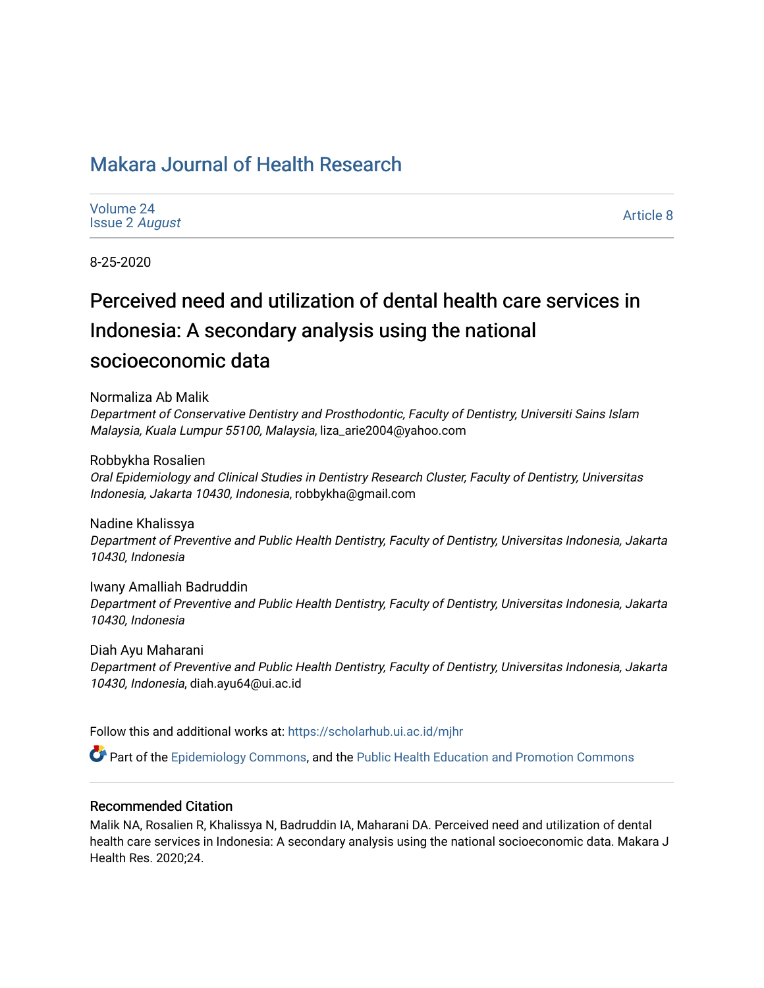## [Makara Journal of Health Research](https://scholarhub.ui.ac.id/mjhr)

[Volume 24](https://scholarhub.ui.ac.id/mjhr/vol24) [Issue 2](https://scholarhub.ui.ac.id/mjhr/vol24/iss2) August

[Article 8](https://scholarhub.ui.ac.id/mjhr/vol24/iss2/8) 

8-25-2020

# Perceived need and utilization of dental health care services in Indonesia: A secondary analysis using the national socioeconomic data

Normaliza Ab Malik

Department of Conservative Dentistry and Prosthodontic, Faculty of Dentistry, Universiti Sains Islam Malaysia, Kuala Lumpur 55100, Malaysia, liza\_arie2004@yahoo.com

Robbykha Rosalien

Oral Epidemiology and Clinical Studies in Dentistry Research Cluster, Faculty of Dentistry, Universitas Indonesia, Jakarta 10430, Indonesia, robbykha@gmail.com

Nadine Khalissya Department of Preventive and Public Health Dentistry, Faculty of Dentistry, Universitas Indonesia, Jakarta 10430, Indonesia

Iwany Amalliah Badruddin Department of Preventive and Public Health Dentistry, Faculty of Dentistry, Universitas Indonesia, Jakarta 10430, Indonesia

Diah Ayu Maharani Department of Preventive and Public Health Dentistry, Faculty of Dentistry, Universitas Indonesia, Jakarta 10430, Indonesia, diah.ayu64@ui.ac.id

Follow this and additional works at: [https://scholarhub.ui.ac.id/mjhr](https://scholarhub.ui.ac.id/mjhr?utm_source=scholarhub.ui.ac.id%2Fmjhr%2Fvol24%2Fiss2%2F8&utm_medium=PDF&utm_campaign=PDFCoverPages)

Part of the [Epidemiology Commons,](http://network.bepress.com/hgg/discipline/740?utm_source=scholarhub.ui.ac.id%2Fmjhr%2Fvol24%2Fiss2%2F8&utm_medium=PDF&utm_campaign=PDFCoverPages) and the [Public Health Education and Promotion Commons](http://network.bepress.com/hgg/discipline/743?utm_source=scholarhub.ui.ac.id%2Fmjhr%2Fvol24%2Fiss2%2F8&utm_medium=PDF&utm_campaign=PDFCoverPages) 

## Recommended Citation

Malik NA, Rosalien R, Khalissya N, Badruddin IA, Maharani DA. Perceived need and utilization of dental health care services in Indonesia: A secondary analysis using the national socioeconomic data. Makara J Health Res. 2020;24.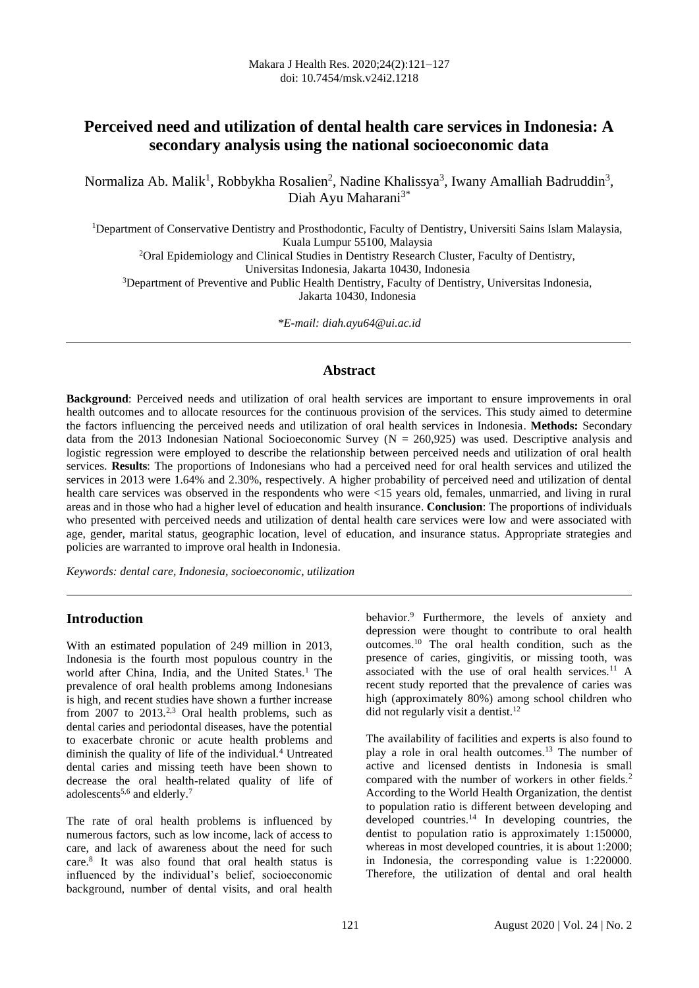## **Perceived need and utilization of dental health care services in Indonesia: A secondary analysis using the national socioeconomic data**

Normaliza Ab. Malik<sup>1</sup>, Robbykha Rosalien<sup>2</sup>, Nadine Khalissya<sup>3</sup>, Iwany Amalliah Badruddin<sup>3</sup>, Diah Ayu Maharani<sup>3\*</sup>

<sup>1</sup>Department of Conservative Dentistry and Prosthodontic, Faculty of Dentistry, Universiti Sains Islam Malaysia, Kuala Lumpur 55100, Malaysia <sup>2</sup>Oral Epidemiology and Clinical Studies in Dentistry Research Cluster, Faculty of Dentistry,

Universitas Indonesia, Jakarta 10430, Indonesia

<sup>3</sup>Department of Preventive and Public Health Dentistry, Faculty of Dentistry, Universitas Indonesia,

Jakarta 10430, Indonesia

*\*E-mail: diah.ayu64@ui.ac.id*

## **Abstract**

**Background**: Perceived needs and utilization of oral health services are important to ensure improvements in oral health outcomes and to allocate resources for the continuous provision of the services. This study aimed to determine the factors influencing the perceived needs and utilization of oral health services in Indonesia. **Methods:** Secondary data from the 2013 Indonesian National Socioeconomic Survey ( $N = 260,925$ ) was used. Descriptive analysis and logistic regression were employed to describe the relationship between perceived needs and utilization of oral health services. **Results**: The proportions of Indonesians who had a perceived need for oral health services and utilized the services in 2013 were 1.64% and 2.30%, respectively. A higher probability of perceived need and utilization of dental health care services was observed in the respondents who were <15 years old, females, unmarried, and living in rural areas and in those who had a higher level of education and health insurance. **Conclusion**: The proportions of individuals who presented with perceived needs and utilization of dental health care services were low and were associated with age, gender, marital status, geographic location, level of education, and insurance status. Appropriate strategies and policies are warranted to improve oral health in Indonesia.

*Keywords: dental care, Indonesia, socioeconomic, utilization*

## **Introduction**

With an estimated population of 249 million in 2013, Indonesia is the fourth most populous country in the world after China, India, and the United States.<sup>1</sup> The prevalence of oral health problems among Indonesians is high, and recent studies have shown a further increase from 2007 to 2013.<sup>2,3</sup> Oral health problems, such as dental caries and periodontal diseases, have the potential to exacerbate chronic or acute health problems and diminish the quality of life of the individual.<sup>4</sup> Untreated dental caries and missing teeth have been shown to decrease the oral health-related quality of life of adolescents<sup>5,6</sup> and elderly.<sup>7</sup>

The rate of oral health problems is influenced by numerous factors, such as low income, lack of access to care, and lack of awareness about the need for such care.<sup>8</sup> It was also found that oral health status is influenced by the individual's belief, socioeconomic background, number of dental visits, and oral health behavior.<sup>9</sup> Furthermore, the levels of anxiety and depression were thought to contribute to oral health outcomes.<sup>10</sup> The oral health condition, such as the presence of caries, gingivitis, or missing tooth, was associated with the use of oral health services.<sup>11</sup> A recent study reported that the prevalence of caries was high (approximately 80%) among school children who did not regularly visit a dentist.<sup>12</sup>

The availability of facilities and experts is also found to play a role in oral health outcomes.<sup>13</sup> The number of active and licensed dentists in Indonesia is small compared with the number of workers in other fields.<sup>2</sup> According to the World Health Organization, the dentist to population ratio is different between developing and developed countries.<sup>14</sup> In developing countries, the dentist to population ratio is approximately 1:150000, whereas in most developed countries, it is about 1:2000; in Indonesia, the corresponding value is 1:220000. Therefore, the utilization of dental and oral health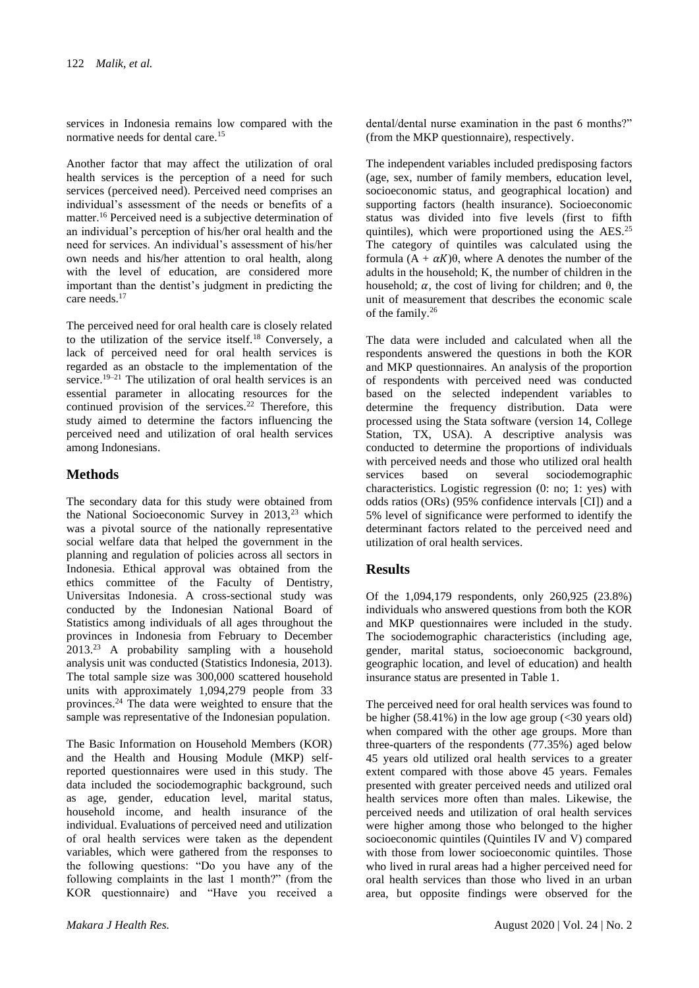services in Indonesia remains low compared with the normative needs for dental care.<sup>15</sup>

Another factor that may affect the utilization of oral health services is the perception of a need for such services (perceived need). Perceived need comprises an individual's assessment of the needs or benefits of a matter.<sup>16</sup> Perceived need is a subjective determination of an individual's perception of his/her oral health and the need for services. An individual's assessment of his/her own needs and his/her attention to oral health, along with the level of education, are considered more important than the dentist's judgment in predicting the care needs.<sup>17</sup>

The perceived need for oral health care is closely related to the utilization of the service itself.<sup>18</sup> Conversely, a lack of perceived need for oral health services is regarded as an obstacle to the implementation of the service.<sup>19–21</sup> The utilization of oral health services is an essential parameter in allocating resources for the continued provision of the services.<sup>22</sup> Therefore, this study aimed to determine the factors influencing the perceived need and utilization of oral health services among Indonesians.

## **Methods**

The secondary data for this study were obtained from the National Socioeconomic Survey in 2013,<sup>23</sup> which was a pivotal source of the nationally representative social welfare data that helped the government in the planning and regulation of policies across all sectors in Indonesia. Ethical approval was obtained from the ethics committee of the Faculty of Dentistry, Universitas Indonesia. A cross-sectional study was conducted by the Indonesian National Board of Statistics among individuals of all ages throughout the provinces in Indonesia from February to December 2013.<sup>23</sup> A probability sampling with a household analysis unit was conducted (Statistics Indonesia, 2013). The total sample size was 300,000 scattered household units with approximately 1,094,279 people from 33 provinces.<sup>24</sup> The data were weighted to ensure that the sample was representative of the Indonesian population.

The Basic Information on Household Members (KOR) and the Health and Housing Module (MKP) selfreported questionnaires were used in this study. The data included the sociodemographic background, such as age, gender, education level, marital status, household income, and health insurance of the individual. Evaluations of perceived need and utilization of oral health services were taken as the dependent variables, which were gathered from the responses to the following questions: "Do you have any of the following complaints in the last 1 month?" (from the KOR questionnaire) and "Have you received a dental/dental nurse examination in the past 6 months?" (from the MKP questionnaire), respectively.

The independent variables included predisposing factors (age, sex, number of family members, education level, socioeconomic status, and geographical location) and supporting factors (health insurance). Socioeconomic status was divided into five levels (first to fifth quintiles), which were proportioned using the AES.<sup>25</sup> The category of quintiles was calculated using the formula  $(A + \alpha K)\theta$ , where A denotes the number of the adults in the household; K, the number of children in the household;  $\alpha$ , the cost of living for children; and θ, the unit of measurement that describes the economic scale of the family.<sup>26</sup>

The data were included and calculated when all the respondents answered the questions in both the KOR and MKP questionnaires. An analysis of the proportion of respondents with perceived need was conducted based on the selected independent variables to determine the frequency distribution. Data were processed using the Stata software (version 14, College Station, TX, USA). A descriptive analysis was conducted to determine the proportions of individuals with perceived needs and those who utilized oral health services based on several sociodemographic characteristics. Logistic regression (0: no; 1: yes) with odds ratios (ORs) (95% confidence intervals [CI]) and a 5% level of significance were performed to identify the determinant factors related to the perceived need and utilization of oral health services.

## **Results**

Of the 1,094,179 respondents, only 260,925 (23.8%) individuals who answered questions from both the KOR and MKP questionnaires were included in the study. The sociodemographic characteristics (including age, gender, marital status, socioeconomic background, geographic location, and level of education) and health insurance status are presented in Table 1.

The perceived need for oral health services was found to be higher  $(58.41\%)$  in the low age group  $( $30$  years old)$ when compared with the other age groups. More than three-quarters of the respondents (77.35%) aged below 45 years old utilized oral health services to a greater extent compared with those above 45 years. Females presented with greater perceived needs and utilized oral health services more often than males. Likewise, the perceived needs and utilization of oral health services were higher among those who belonged to the higher socioeconomic quintiles (Quintiles IV and V) compared with those from lower socioeconomic quintiles. Those who lived in rural areas had a higher perceived need for oral health services than those who lived in an urban area, but opposite findings were observed for the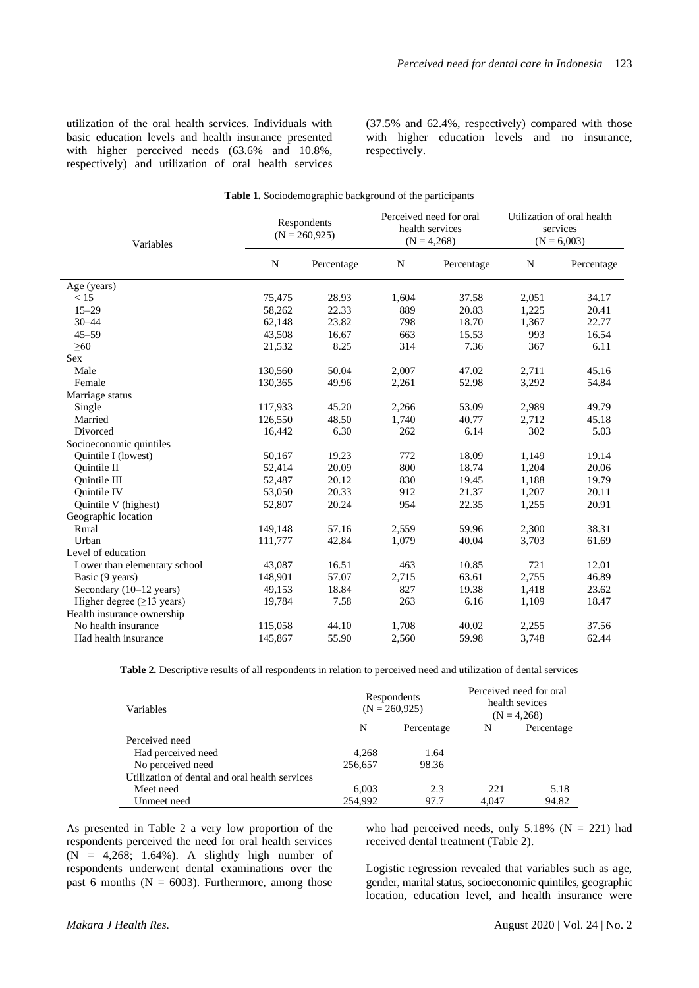utilization of the oral health services. Individuals with basic education levels and health insurance presented with higher perceived needs (63.6% and 10.8%, respectively) and utilization of oral health services (37.5% and 62.4%, respectively) compared with those with higher education levels and no insurance, respectively.

|             |                                                                                                                                                                   |                                                                                                                                  |                                                                  | Utilization of oral health<br>services<br>$(N = 6,003)$                                                                                    |                                                                                                                                                                           |  |
|-------------|-------------------------------------------------------------------------------------------------------------------------------------------------------------------|----------------------------------------------------------------------------------------------------------------------------------|------------------------------------------------------------------|--------------------------------------------------------------------------------------------------------------------------------------------|---------------------------------------------------------------------------------------------------------------------------------------------------------------------------|--|
| $\mathbf N$ | Percentage                                                                                                                                                        | N                                                                                                                                | Percentage                                                       | $\mathbf N$                                                                                                                                | Percentage                                                                                                                                                                |  |
|             |                                                                                                                                                                   |                                                                                                                                  |                                                                  |                                                                                                                                            |                                                                                                                                                                           |  |
| 75,475      | 28.93                                                                                                                                                             | 1,604                                                                                                                            | 37.58                                                            | 2,051                                                                                                                                      | 34.17                                                                                                                                                                     |  |
|             | 22.33                                                                                                                                                             | 889                                                                                                                              | 20.83                                                            |                                                                                                                                            | 20.41                                                                                                                                                                     |  |
|             |                                                                                                                                                                   | 798                                                                                                                              |                                                                  |                                                                                                                                            | 22.77                                                                                                                                                                     |  |
|             | 16.67                                                                                                                                                             | 663                                                                                                                              | 15.53                                                            | 993                                                                                                                                        | 16.54                                                                                                                                                                     |  |
|             | 8.25                                                                                                                                                              | 314                                                                                                                              | 7.36                                                             | 367                                                                                                                                        | 6.11                                                                                                                                                                      |  |
|             |                                                                                                                                                                   |                                                                                                                                  |                                                                  |                                                                                                                                            |                                                                                                                                                                           |  |
| 130,560     |                                                                                                                                                                   | 2,007                                                                                                                            | 47.02                                                            | 2,711                                                                                                                                      | 45.16                                                                                                                                                                     |  |
|             |                                                                                                                                                                   |                                                                                                                                  |                                                                  |                                                                                                                                            | 54.84                                                                                                                                                                     |  |
|             |                                                                                                                                                                   |                                                                                                                                  |                                                                  |                                                                                                                                            |                                                                                                                                                                           |  |
|             | 45.20                                                                                                                                                             |                                                                                                                                  | 53.09                                                            | 2,989                                                                                                                                      | 49.79                                                                                                                                                                     |  |
|             | 48.50                                                                                                                                                             |                                                                                                                                  | 40.77                                                            |                                                                                                                                            | 45.18                                                                                                                                                                     |  |
| 16,442      |                                                                                                                                                                   | 262                                                                                                                              |                                                                  |                                                                                                                                            | 5.03                                                                                                                                                                      |  |
|             |                                                                                                                                                                   |                                                                                                                                  |                                                                  |                                                                                                                                            |                                                                                                                                                                           |  |
|             |                                                                                                                                                                   | 772                                                                                                                              |                                                                  |                                                                                                                                            | 19.14                                                                                                                                                                     |  |
|             |                                                                                                                                                                   | 800                                                                                                                              | 18.74                                                            |                                                                                                                                            | 20.06                                                                                                                                                                     |  |
|             | 20.12                                                                                                                                                             | 830                                                                                                                              | 19.45                                                            | 1,188                                                                                                                                      | 19.79                                                                                                                                                                     |  |
| 53,050      | 20.33                                                                                                                                                             | 912                                                                                                                              | 21.37                                                            | 1,207                                                                                                                                      | 20.11                                                                                                                                                                     |  |
|             |                                                                                                                                                                   |                                                                                                                                  |                                                                  |                                                                                                                                            | 20.91                                                                                                                                                                     |  |
|             |                                                                                                                                                                   |                                                                                                                                  |                                                                  |                                                                                                                                            |                                                                                                                                                                           |  |
| 149,148     |                                                                                                                                                                   |                                                                                                                                  | 59.96                                                            |                                                                                                                                            | 38.31                                                                                                                                                                     |  |
|             |                                                                                                                                                                   |                                                                                                                                  |                                                                  |                                                                                                                                            | 61.69                                                                                                                                                                     |  |
|             |                                                                                                                                                                   |                                                                                                                                  |                                                                  |                                                                                                                                            |                                                                                                                                                                           |  |
|             | 16.51                                                                                                                                                             | 463                                                                                                                              | 10.85                                                            | 721                                                                                                                                        | 12.01                                                                                                                                                                     |  |
|             |                                                                                                                                                                   |                                                                                                                                  |                                                                  |                                                                                                                                            | 46.89                                                                                                                                                                     |  |
|             | 18.84                                                                                                                                                             |                                                                                                                                  |                                                                  |                                                                                                                                            | 23.62                                                                                                                                                                     |  |
|             |                                                                                                                                                                   | 263                                                                                                                              |                                                                  |                                                                                                                                            | 18.47                                                                                                                                                                     |  |
|             |                                                                                                                                                                   |                                                                                                                                  |                                                                  |                                                                                                                                            |                                                                                                                                                                           |  |
| 115,058     | 44.10                                                                                                                                                             | 1,708                                                                                                                            | 40.02                                                            | 2,255                                                                                                                                      | 37.56                                                                                                                                                                     |  |
| 145,867     | 55.90                                                                                                                                                             | 2,560                                                                                                                            | 59.98                                                            | 3,748                                                                                                                                      | 62.44                                                                                                                                                                     |  |
|             | 58,262<br>62,148<br>43,508<br>21,532<br>130,365<br>117,933<br>126,550<br>50,167<br>52,414<br>52,487<br>52,807<br>111,777<br>43,087<br>148,901<br>49,153<br>19,784 | Respondents<br>$(N = 260, 925)$<br>23.82<br>50.04<br>49.96<br>6.30<br>19.23<br>20.09<br>20.24<br>57.16<br>42.84<br>57.07<br>7.58 | 2,261<br>2,266<br>1,740<br>954<br>2,559<br>1,079<br>2,715<br>827 | Perceived need for oral<br>health services<br>$(N = 4,268)$<br>18.70<br>52.98<br>6.14<br>18.09<br>22.35<br>40.04<br>63.61<br>19.38<br>6.16 | ore 1. Boerodennograpme ouenground or the participants<br>1,225<br>1,367<br>3,292<br>2,712<br>302<br>1,149<br>1,204<br>1,255<br>2,300<br>3,703<br>2,755<br>1,418<br>1,109 |  |

| Table 1. Sociodemographic background of the participants |  |  |
|----------------------------------------------------------|--|--|
|                                                          |  |  |

**Table 2.** Descriptive results of all respondents in relation to perceived need and utilization of dental services

| Variables                                      |         | Respondents<br>$(N = 260, 925)$ | Perceived need for oral<br>health sevices<br>$(N = 4,268)$ |            |  |
|------------------------------------------------|---------|---------------------------------|------------------------------------------------------------|------------|--|
|                                                | N       | Percentage                      | N                                                          | Percentage |  |
| Perceived need                                 |         |                                 |                                                            |            |  |
| Had perceived need                             | 4.268   | 1.64                            |                                                            |            |  |
| No perceived need                              | 256,657 | 98.36                           |                                                            |            |  |
| Utilization of dental and oral health services |         |                                 |                                                            |            |  |
| Meet need                                      | 6.003   | 2.3                             | 22.1                                                       | 5.18       |  |
| Unmeet need                                    | 254,992 | 97.7                            | 4.047                                                      | 94.82      |  |

As presented in Table 2 a very low proportion of the respondents perceived the need for oral health services  $(N = 4,268; 1.64\%)$ . A slightly high number of respondents underwent dental examinations over the past 6 months ( $N = 6003$ ). Furthermore, among those

who had perceived needs, only  $5.18\%$  (N = 221) had received dental treatment (Table 2).

Logistic regression revealed that variables such as age, gender, marital status, socioeconomic quintiles, geographic location, education level, and health insurance were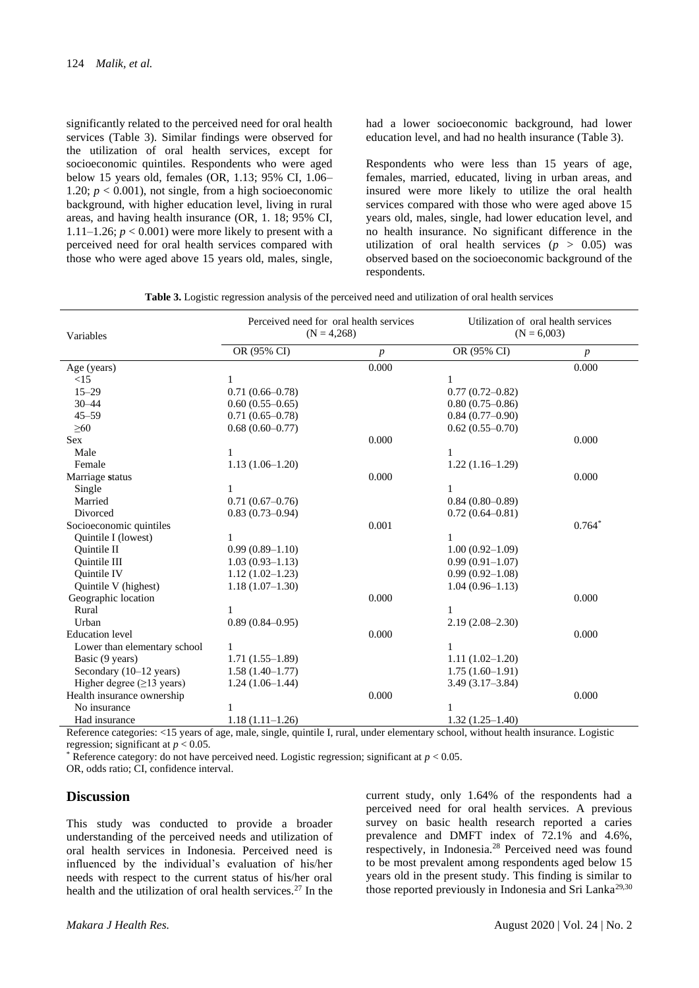significantly related to the perceived need for oral health services (Table 3). Similar findings were observed for the utilization of oral health services, except for socioeconomic quintiles. Respondents who were aged below 15 years old, females (OR, 1.13; 95% CI, 1.06– 1.20;  $p < 0.001$ ), not single, from a high socioeconomic background, with higher education level, living in rural areas, and having health insurance (OR, 1. 18; 95% CI, 1.11–1.26;  $p < 0.001$ ) were more likely to present with a perceived need for oral health services compared with those who were aged above 15 years old, males, single,

had a lower socioeconomic background, had lower education level, and had no health insurance (Table 3).

Respondents who were less than 15 years of age, females, married, educated, living in urban areas, and insured were more likely to utilize the oral health services compared with those who were aged above 15 years old, males, single, had lower education level, and no health insurance. No significant difference in the utilization of oral health services  $(p > 0.05)$  was observed based on the socioeconomic background of the respondents.

|  | <b>Table 3.</b> Logistic regression analysis of the perceived need and utilization of oral health services |  |  |  |  |  |
|--|------------------------------------------------------------------------------------------------------------|--|--|--|--|--|
|  |                                                                                                            |  |  |  |  |  |

| Variables                               | Perceived need for oral health services<br>$(N = 4,268)$ |                  | Utilization of oral health services<br>$(N = 6,003)$ |                  |  |
|-----------------------------------------|----------------------------------------------------------|------------------|------------------------------------------------------|------------------|--|
|                                         | OR (95% CI)                                              | $\boldsymbol{p}$ | OR (95% CI)                                          | $\boldsymbol{p}$ |  |
| Age (years)                             |                                                          | 0.000            |                                                      | 0.000            |  |
| <15                                     | 1                                                        |                  | 1                                                    |                  |  |
| $15 - 29$                               | $0.71(0.66 - 0.78)$                                      |                  | $0.77(0.72 - 0.82)$                                  |                  |  |
| $30 - 44$                               | $0.60(0.55-0.65)$                                        |                  | $0.80(0.75-0.86)$                                    |                  |  |
| $45 - 59$                               | $0.71(0.65 - 0.78)$                                      |                  | $0.84(0.77-0.90)$                                    |                  |  |
| $\geq 60$                               | $0.68(0.60 - 0.77)$                                      |                  | $0.62(0.55-0.70)$                                    |                  |  |
| <b>Sex</b>                              |                                                          | 0.000            |                                                      | 0.000            |  |
| Male                                    |                                                          |                  | 1                                                    |                  |  |
| Female                                  | $1.13(1.06-1.20)$                                        |                  | $1.22(1.16-1.29)$                                    |                  |  |
| Marriage status                         |                                                          | 0.000            |                                                      | 0.000            |  |
| Single                                  |                                                          |                  | 1                                                    |                  |  |
| Married                                 | $0.71(0.67 - 0.76)$                                      |                  | $0.84(0.80-0.89)$                                    |                  |  |
| Divorced                                | $0.83(0.73-0.94)$                                        |                  | $0.72(0.64 - 0.81)$                                  |                  |  |
| Socioeconomic quintiles                 |                                                          | 0.001            |                                                      | $0.764*$         |  |
| Quintile I (lowest)                     | 1                                                        |                  | 1                                                    |                  |  |
| Quintile II                             | $0.99(0.89 - 1.10)$                                      |                  | $1.00(0.92 - 1.09)$                                  |                  |  |
| Quintile III                            | $1.03(0.93 - 1.13)$                                      |                  | $0.99(0.91-1.07)$                                    |                  |  |
| <b>Ouintile IV</b>                      | $1.12(1.02 - 1.23)$                                      |                  | $0.99(0.92 - 1.08)$                                  |                  |  |
| Quintile V (highest)                    | $1.18(1.07-1.30)$                                        |                  | $1.04(0.96 - 1.13)$                                  |                  |  |
| Geographic location                     |                                                          | 0.000            |                                                      | 0.000            |  |
| Rural                                   |                                                          |                  | 1                                                    |                  |  |
| Urban                                   | $0.89(0.84 - 0.95)$                                      |                  | $2.19(2.08 - 2.30)$                                  |                  |  |
| <b>Education</b> level                  |                                                          | 0.000            |                                                      | 0.000            |  |
| Lower than elementary school            | 1                                                        |                  | 1                                                    |                  |  |
| Basic (9 years)                         | $1.71(1.55-1.89)$                                        |                  | $1.11(1.02 - 1.20)$                                  |                  |  |
| Secondary (10-12 years)                 | $1.58(1.40-1.77)$                                        |                  | $1.75(1.60-1.91)$                                    |                  |  |
| Higher degree $(\geq 13 \text{ years})$ | $1.24(1.06-1.44)$                                        |                  | $3.49(3.17 - 3.84)$                                  |                  |  |
| Health insurance ownership              |                                                          | 0.000            |                                                      | 0.000            |  |
| No insurance                            | $\mathbf{1}$                                             |                  | 1                                                    |                  |  |
| Had insurance                           | $1.18(1.11-1.26)$                                        |                  | $1.32(1.25 - 1.40)$                                  |                  |  |

Reference categories: <15 years of age, male, single, quintile I, rural, under elementary school, without health insurance. Logistic regression; significant at *p* < 0.05.

Reference category: do not have perceived need. Logistic regression; significant at  $p < 0.05$ .

OR, odds ratio; CI, confidence interval.

#### **Discussion**

This study was conducted to provide a broader understanding of the perceived needs and utilization of oral health services in Indonesia. Perceived need is influenced by the individual's evaluation of his/her needs with respect to the current status of his/her oral health and the utilization of oral health services.<sup>27</sup> In the

current study, only 1.64% of the respondents had a perceived need for oral health services. A previous survey on basic health research reported a caries prevalence and DMFT index of 72.1% and 4.6%, respectively, in Indonesia.<sup>28</sup> Perceived need was found to be most prevalent among respondents aged below 15 years old in the present study. This finding is similar to those reported previously in Indonesia and Sri Lanka<sup>29,30</sup>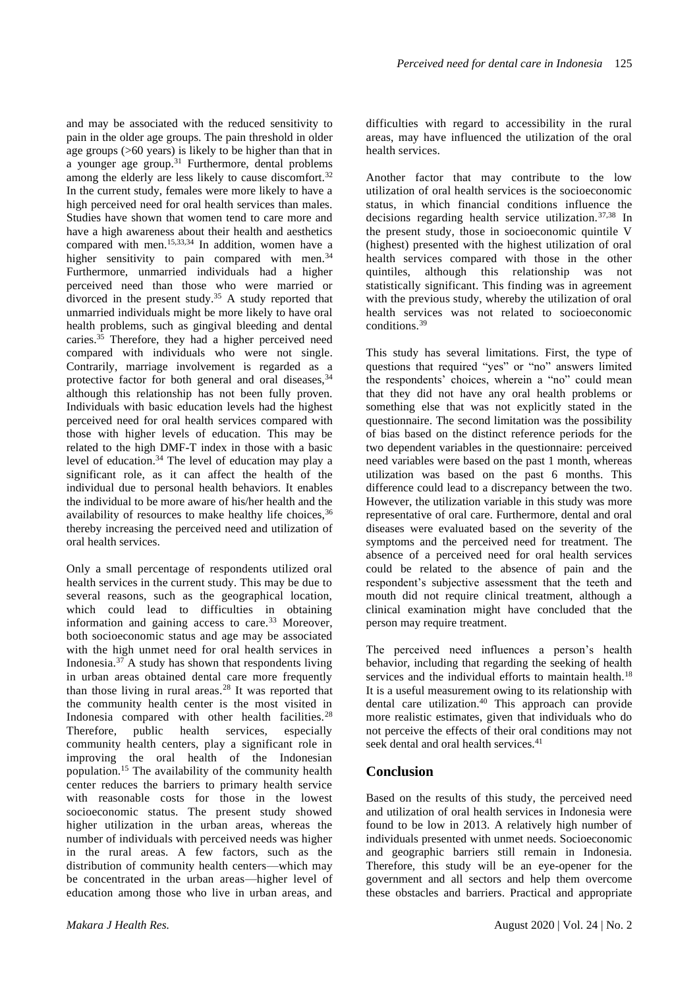and may be associated with the reduced sensitivity to pain in the older age groups. The pain threshold in older age groups (>60 years) is likely to be higher than that in a younger age group.<sup>31</sup> Furthermore, dental problems among the elderly are less likely to cause discomfort.<sup>32</sup> In the current study, females were more likely to have a high perceived need for oral health services than males. Studies have shown that women tend to care more and have a high awareness about their health and aesthetics compared with men.15,33,34 In addition, women have a higher sensitivity to pain compared with men.<sup>34</sup> Furthermore, unmarried individuals had a higher perceived need than those who were married or divorced in the present study.<sup>35</sup> A study reported that unmarried individuals might be more likely to have oral health problems, such as gingival bleeding and dental caries.<sup>35</sup> Therefore, they had a higher perceived need compared with individuals who were not single. Contrarily, marriage involvement is regarded as a protective factor for both general and oral diseases, 34 although this relationship has not been fully proven. Individuals with basic education levels had the highest perceived need for oral health services compared with those with higher levels of education. This may be related to the high DMF-T index in those with a basic level of education.<sup>34</sup> The level of education may play a significant role, as it can affect the health of the individual due to personal health behaviors. It enables the individual to be more aware of his/her health and the availability of resources to make healthy life choices, 36 thereby increasing the perceived need and utilization of oral health services.

Only a small percentage of respondents utilized oral health services in the current study. This may be due to several reasons, such as the geographical location, which could lead to difficulties in obtaining information and gaining access to care. $33$  Moreover, both socioeconomic status and age may be associated with the high unmet need for oral health services in Indonesia. $37$  A study has shown that respondents living in urban areas obtained dental care more frequently than those living in rural areas.<sup>28</sup> It was reported that the community health center is the most visited in Indonesia compared with other health facilities.<sup>28</sup> Therefore, public health services, especially community health centers, play a significant role in improving the oral health of the Indonesian population.<sup>15</sup> The availability of the community health center reduces the barriers to primary health service with reasonable costs for those in the lowest socioeconomic status. The present study showed higher utilization in the urban areas, whereas the number of individuals with perceived needs was higher in the rural areas. A few factors, such as the distribution of community health centers—which may be concentrated in the urban areas—higher level of education among those who live in urban areas, and difficulties with regard to accessibility in the rural areas, may have influenced the utilization of the oral health services.

Another factor that may contribute to the low utilization of oral health services is the socioeconomic status, in which financial conditions influence the decisions regarding health service utilization.37,38 In the present study, those in socioeconomic quintile V (highest) presented with the highest utilization of oral health services compared with those in the other quintiles, although this relationship was not statistically significant. This finding was in agreement with the previous study, whereby the utilization of oral health services was not related to socioeconomic conditions.<sup>39</sup>

This study has several limitations. First, the type of questions that required "yes" or "no" answers limited the respondents' choices, wherein a "no" could mean that they did not have any oral health problems or something else that was not explicitly stated in the questionnaire. The second limitation was the possibility of bias based on the distinct reference periods for the two dependent variables in the questionnaire: perceived need variables were based on the past 1 month, whereas utilization was based on the past 6 months. This difference could lead to a discrepancy between the two. However, the utilization variable in this study was more representative of oral care. Furthermore, dental and oral diseases were evaluated based on the severity of the symptoms and the perceived need for treatment. The absence of a perceived need for oral health services could be related to the absence of pain and the respondent's subjective assessment that the teeth and mouth did not require clinical treatment, although a clinical examination might have concluded that the person may require treatment.

The perceived need influences a person's health behavior, including that regarding the seeking of health services and the individual efforts to maintain health.<sup>18</sup> It is a useful measurement owing to its relationship with dental care utilization.<sup>40</sup> This approach can provide more realistic estimates, given that individuals who do not perceive the effects of their oral conditions may not seek dental and oral health services.<sup>41</sup>

## **Conclusion**

Based on the results of this study, the perceived need and utilization of oral health services in Indonesia were found to be low in 2013. A relatively high number of individuals presented with unmet needs. Socioeconomic and geographic barriers still remain in Indonesia. Therefore, this study will be an eye-opener for the government and all sectors and help them overcome these obstacles and barriers. Practical and appropriate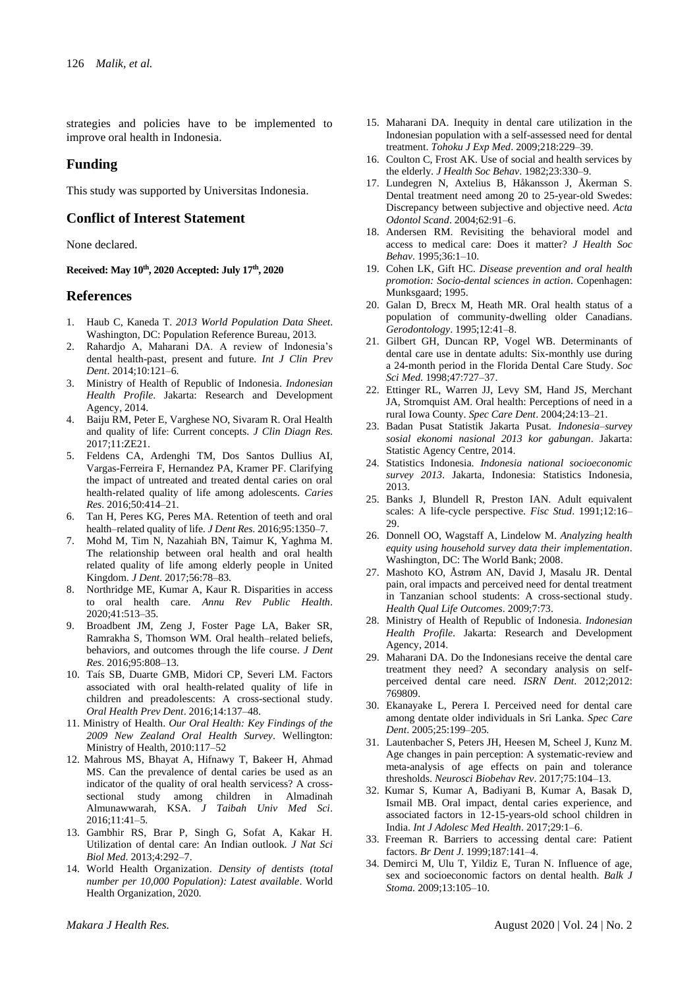strategies and policies have to be implemented to improve oral health in Indonesia.

## **Funding**

This study was supported by Universitas Indonesia.

#### **Conflict of Interest Statement**

None declared.

**Received: May 10th, 2020 Accepted: July 17 th , 2020**

#### **References**

- 1. Haub C, Kaneda T. *2013 World Population Data Sheet*. Washington, DC: Population Reference Bureau, 2013.
- 2. Rahardjo A, Maharani DA. A review of Indonesia's dental health-past, present and future. *Int J Clin Prev Dent*. 2014;10:121–6.
- 3. Ministry of Health of Republic of Indonesia. *Indonesian Health Profile*. Jakarta: Research and Development Agency, 2014.
- 4. Baiju RM, Peter E, Varghese NO, Sivaram R. Oral Health and quality of life: Current concepts. *J Clin Diagn Res*. 2017;11:ZE21.
- 5. Feldens CA, Ardenghi TM, Dos Santos Dullius AI, Vargas-Ferreira F, Hernandez PA, Kramer PF. Clarifying the impact of untreated and treated dental caries on oral health-related quality of life among adolescents. *Caries Res*. 2016;50:414–21.
- 6. Tan H, Peres KG, Peres MA. Retention of teeth and oral health–related quality of life. *J Dent Res*. 2016;95:1350–7.
- 7. Mohd M, Tim N, Nazahiah BN, Taimur K, Yaghma M. The relationship between oral health and oral health related quality of life among elderly people in United Kingdom. *J Dent*. 2017;56:78–83.
- 8. Northridge ME, Kumar A, Kaur R. Disparities in access to oral health care. *Annu Rev Public Health*. 2020;41:513–35.
- 9. Broadbent JM, Zeng J, Foster Page LA, Baker SR, Ramrakha S, Thomson WM. Oral health–related beliefs, behaviors, and outcomes through the life course. *J Dent Res*. 2016;95:808–13.
- 10. Taís SB, Duarte GMB, Midori CP, Severi LM. Factors associated with oral health-related quality of life in children and preadolescents: A cross-sectional study. *Oral Health Prev Dent*. 2016;14:137–48.
- 11. Ministry of Health. *Our Oral Health: Key Findings of the 2009 New Zealand Oral Health Survey*. Wellington: Ministry of Health, 2010:117–52
- 12. Mahrous MS, Bhayat A, Hifnawy T, Bakeer H, Ahmad MS. Can the prevalence of dental caries be used as an indicator of the quality of oral health servicess? A crosssectional study among children in Almadinah Almunawwarah, KSA. *J Taibah Univ Med Sci*. 2016;11:41–5.
- 13. Gambhir RS, Brar P, Singh G, Sofat A, Kakar H. Utilization of dental care: An Indian outlook. *J Nat Sci Biol Med*. 2013;4:292–7.
- 14. World Health Organization. *Density of dentists (total number per 10,000 Population): Latest available*. World Health Organization, 2020.
- 15. Maharani DA. Inequity in dental care utilization in the Indonesian population with a self-assessed need for dental treatment. *Tohoku J Exp Med*. 2009;218:229–39.
- 16. Coulton C, Frost AK. Use of social and health services by the elderly. *J Health Soc Behav*. 1982;23:330–9.
- 17. Lundegren N, Axtelius B, Håkansson J, Åkerman S. Dental treatment need among 20 to 25-year-old Swedes: Discrepancy between subjective and objective need. *Acta Odontol Scand*. 2004;62:91–6.
- 18. Andersen RM. Revisiting the behavioral model and access to medical care: Does it matter? *J Health Soc Behav*. 1995;36:1–10.
- 19. Cohen LK, Gift HC. *Disease prevention and oral health promotion: Socio-dental sciences in action*. Copenhagen: Munksgaard; 1995.
- 20. Galan D, Brecx M, Heath MR. Oral health status of a population of community-dwelling older Canadians. *Gerodontology*. 1995;12:41–8.
- 21. Gilbert GH, Duncan RP, Vogel WB. Determinants of dental care use in dentate adults: Six-monthly use during a 24-month period in the Florida Dental Care Study. *Soc Sci Med*. 1998;47:727–37.
- 22. Ettinger RL, Warren JJ, Levy SM, Hand JS, Merchant JA, Stromquist AM. Oral health: Perceptions of need in a rural Iowa County. *Spec Care Dent*. 2004;24:13–21.
- 23. Badan Pusat Statistik Jakarta Pusat. *Indonesia–survey sosial ekonomi nasional 2013 kor gabungan*. Jakarta: Statistic Agency Centre, 2014.
- 24. Statistics Indonesia. *Indonesia national socioeconomic survey 2013*. Jakarta, Indonesia: Statistics Indonesia, 2013.
- 25. Banks J, Blundell R, Preston IAN. Adult equivalent scales: A life-cycle perspective. *Fisc Stud*. 1991;12:16– 29.
- 26. Donnell OO, Wagstaff A, Lindelow M. *Analyzing health equity using household survey data their implementation*. Washington, DC: The World Bank; 2008.
- 27. Mashoto KO, Åstrøm AN, David J, Masalu JR. Dental pain, oral impacts and perceived need for dental treatment in Tanzanian school students: A cross-sectional study. *Health Qual Life Outcomes*. 2009;7:73.
- 28. Ministry of Health of Republic of Indonesia. *Indonesian Health Profile*. Jakarta: Research and Development Agency, 2014.
- 29. Maharani DA. Do the Indonesians receive the dental care treatment they need? A secondary analysis on selfperceived dental care need. *ISRN Dent*. 2012;2012: 769809.
- 30. Ekanayake L, Perera I. Perceived need for dental care among dentate older individuals in Sri Lanka. *Spec Care Dent*. 2005;25:199–205.
- 31. Lautenbacher S, Peters JH, Heesen M, Scheel J, Kunz M. Age changes in pain perception: A systematic-review and meta-analysis of age effects on pain and tolerance thresholds. *Neurosci Biobehav Rev*. 2017;75:104–13.
- 32. Kumar S, Kumar A, Badiyani B, Kumar A, Basak D, Ismail MB. Oral impact, dental caries experience, and associated factors in 12-15-years-old school children in India. *Int J Adolesc Med Health*. 2017;29:1–6.
- 33. Freeman R. Barriers to accessing dental care: Patient factors. *Br Dent J*. 1999;187:141–4.
- 34. Demirci M, Ulu T, Yildiz E, Turan N. Influence of age, sex and socioeconomic factors on dental health. *Balk J Stoma*. 2009;13:105–10.